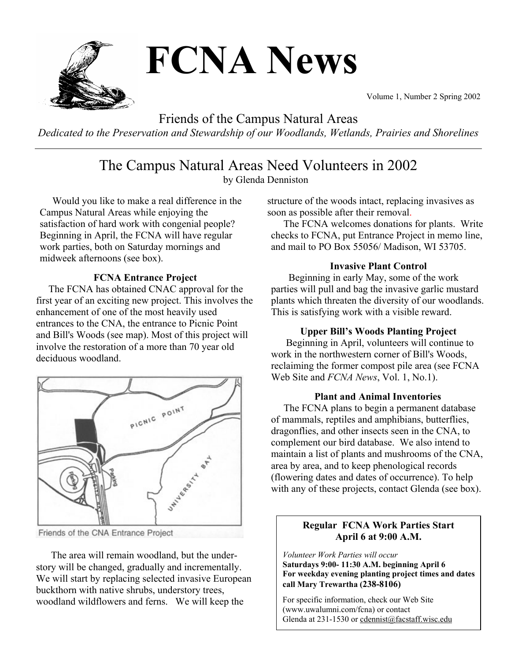

Volume 1, Number 2 Spring 2002

Friends of the Campus Natural Areas

*Dedicated to the Preservation and Stewardship of our Woodlands, Wetlands, Prairies and Shorelines*

The Campus Natural Areas Need Volunteers in 2002

by Glenda Denniston

 Would you like to make a real difference in the Campus Natural Areas while enjoying the satisfaction of hard work with congenial people? Beginning in April, the FCNA will have regular work parties, both on Saturday mornings and midweek afternoons (see box).

## **FCNA Entrance Project**

 The FCNA has obtained CNAC approval for the first year of an exciting new project. This involves the enhancement of one of the most heavily used entrances to the CNA, the entrance to Picnic Point and Bill's Woods (see map). Most of this project will involve the restoration of a more than 70 year old deciduous woodland.



Friends of the CNA Entrance Project

 The area will remain woodland, but the understory will be changed, gradually and incrementally. We will start by replacing selected invasive European buckthorn with native shrubs, understory trees, woodland wildflowers and ferns. We will keep the

structure of the woods intact, replacing invasives as soon as possible after their removal.

 The FCNA welcomes donations for plants. Write checks to FCNA, put Entrance Project in memo line, and mail to PO Box 55056/ Madison, WI 53705.

### **Invasive Plant Control**

 Beginning in early May, some of the work parties will pull and bag the invasive garlic mustard plants which threaten the diversity of our woodlands. This is satisfying work with a visible reward.

### **Upper Bill's Woods Planting Project**

 Beginning in April, volunteers will continue to work in the northwestern corner of Bill's Woods, reclaiming the former compost pile area (see FCNA Web Site and *FCNA News*, Vol. 1, No.1).

### **Plant and Animal Inventories**

 The FCNA plans to begin a permanent database of mammals, reptiles and amphibians, butterflies, dragonflies, and other insects seen in the CNA, to complement our bird database. We also intend to maintain a list of plants and mushrooms of the CNA, area by area, and to keep phenological records (flowering dates and dates of occurrence). To help with any of these projects, contact Glenda (see box).

## **Regular FCNA Work Parties Start April 6 at 9:00 A.M.**

*Volunteer Work Parties will occur* **Saturdays 9:00- 11:30 A.M. beginning April 6 For weekday evening planting project times and dates call Mary Trewartha (238-8106)**

 $\overline{\phantom{a}}$ 

For specific information, check our Web Site (www.uwalumni.com/fcna) or contact Glenda at 231-1530 or cdennist@facstaff.wisc.edu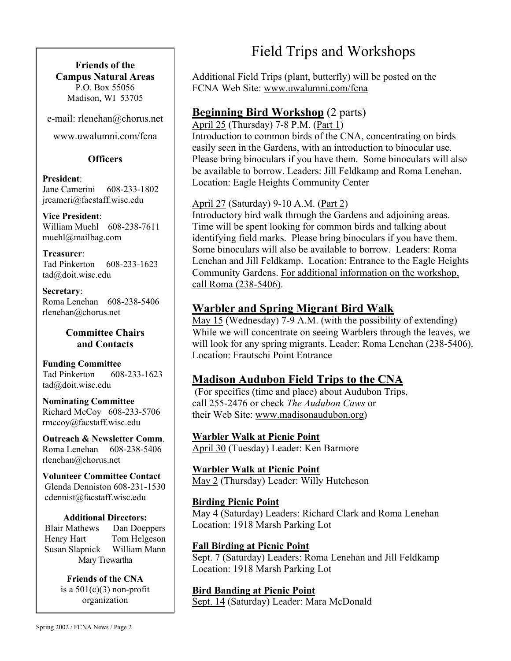**Friends of the Campus Natural Areas**  P.O. Box 55056 Madison, WI 53705

e-mail: rlenehan@chorus.net

www.uwalumni.com/fcna

### **Officers**

**President**:

Jane Camerini 608-233-1802 jrcameri@facstaff.wisc.edu

**Vice President**: William Muehl 608-238-7611 muehl@mailbag.com

**Treasurer**: Tad Pinkerton 608-233-1623 tad@doit.wisc.edu

**Secretary**: Roma Lenehan 608-238-5406 rlenehan@chorus.net

### **Committee Chairs and Contacts**

**Funding Committee**  Tad Pinkerton 608-233-1623 tad@doit.wisc.edu

**Nominating Committee**  Richard McCoy 608-233-5706 rmccoy@facstaff.wisc.edu

**Outreach & Newsletter Comm**. Roma Lenehan 608-238-5406 rlenehan@chorus.net

**Volunteer Committee Contact** Glenda Denniston 608-231-1530 cdennist@facstaff.wisc.edu

#### **Additional Directors:**

Blair Mathews Dan Doeppers Henry Hart Tom Helgeson Susan Slapnick William Mann Mary Trewartha

> **Friends of the CNA**  is a  $501(c)(3)$  non-profit organization

Field Trips and Workshops

Additional Field Trips (plant, butterfly) will be posted on the FCNA Web Site: www.uwalumni.com/fcna

# **Beginning Bird Workshop** (2 parts)

April 25 (Thursday) 7-8 P.M. (Part 1)

Introduction to common birds of the CNA, concentrating on birds easily seen in the Gardens, with an introduction to binocular use. Please bring binoculars if you have them. Some binoculars will also be available to borrow. Leaders: Jill Feldkamp and Roma Lenehan. Location: Eagle Heights Community Center

## April 27 (Saturday) 9-10 A.M. (Part 2)

Introductory bird walk through the Gardens and adjoining areas. Time will be spent looking for common birds and talking about identifying field marks. Please bring binoculars if you have them. Some binoculars will also be available to borrow. Leaders: Roma Lenehan and Jill Feldkamp. Location: Entrance to the Eagle Heights Community Gardens. For additional information on the workshop, call Roma (238-5406).

# **Warbler and Spring Migrant Bird Walk**

May 15 (Wednesday) 7-9 A.M. (with the possibility of extending) While we will concentrate on seeing Warblers through the leaves, we will look for any spring migrants. Leader: Roma Lenehan (238-5406). Location: Frautschi Point Entrance

# **Madison Audubon Field Trips to the CNA**

 (For specifics (time and place) about Audubon Trips, call 255-2476 or check *The Audubon Caws* or their Web Site: www.madisonaudubon.org)

**Warbler Walk at Picnic Point** April 30 (Tuesday) Leader: Ken Barmore

**Warbler Walk at Picnic Point** May 2 (Thursday) Leader: Willy Hutcheson

**Birding Picnic Point**  May 4 (Saturday) Leaders: Richard Clark and Roma Lenehan Location: 1918 Marsh Parking Lot

## **Fall Birding at Picnic Point**

Sept. 7 (Saturday) Leaders: Roma Lenehan and Jill Feldkamp Location: 1918 Marsh Parking Lot

**Bird Banding at Picnic Point** Sept. 14 (Saturday) Leader: Mara McDonald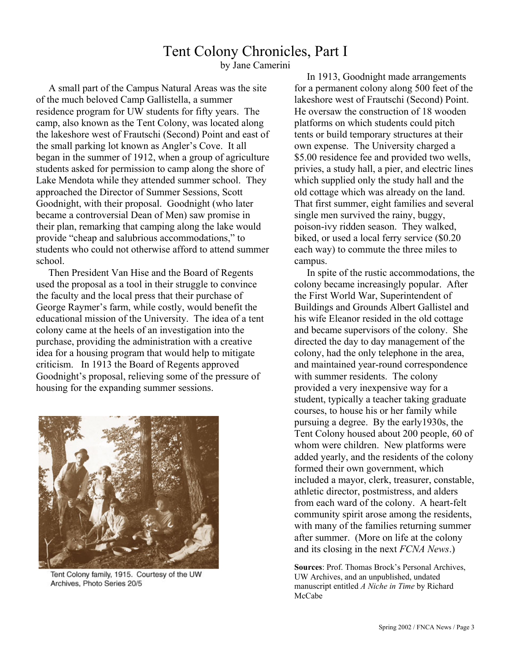# Tent Colony Chronicles, Part I

by Jane Camerini

 A small part of the Campus Natural Areas was the site of the much beloved Camp Gallistella, a summer residence program for UW students for fifty years. The camp, also known as the Tent Colony, was located along the lakeshore west of Frautschi (Second) Point and east of the small parking lot known as Angler's Cove. It all began in the summer of 1912, when a group of agriculture students asked for permission to camp along the shore of Lake Mendota while they attended summer school. They approached the Director of Summer Sessions, Scott Goodnight, with their proposal. Goodnight (who later became a controversial Dean of Men) saw promise in their plan, remarking that camping along the lake would provide "cheap and salubrious accommodations," to students who could not otherwise afford to attend summer school.

 Then President Van Hise and the Board of Regents used the proposal as a tool in their struggle to convince the faculty and the local press that their purchase of George Raymer's farm, while costly, would benefit the educational mission of the University. The idea of a tent colony came at the heels of an investigation into the purchase, providing the administration with a creative idea for a housing program that would help to mitigate criticism. In 1913 the Board of Regents approved Goodnight's proposal, relieving some of the pressure of housing for the expanding summer sessions.



Tent Colony family, 1915. Courtesy of the UW Archives, Photo Series 20/5

 In 1913, Goodnight made arrangements for a permanent colony along 500 feet of the lakeshore west of Frautschi (Second) Point. He oversaw the construction of 18 wooden platforms on which students could pitch tents or build temporary structures at their own expense. The University charged a \$5.00 residence fee and provided two wells, privies, a study hall, a pier, and electric lines which supplied only the study hall and the old cottage which was already on the land. That first summer, eight families and several single men survived the rainy, buggy, poison-ivy ridden season. They walked, biked, or used a local ferry service (\$0.20 each way) to commute the three miles to campus.

 In spite of the rustic accommodations, the colony became increasingly popular. After the First World War, Superintendent of Buildings and Grounds Albert Gallistel and his wife Eleanor resided in the old cottage and became supervisors of the colony. She directed the day to day management of the colony, had the only telephone in the area, and maintained year-round correspondence with summer residents. The colony provided a very inexpensive way for a student, typically a teacher taking graduate courses, to house his or her family while pursuing a degree. By the early1930s, the Tent Colony housed about 200 people, 60 of whom were children. New platforms were added yearly, and the residents of the colony formed their own government, which included a mayor, clerk, treasurer, constable, athletic director, postmistress, and alders from each ward of the colony. A heart-felt community spirit arose among the residents, with many of the families returning summer after summer. (More on life at the colony and its closing in the next *FCNA News*.)

**Sources**: Prof. Thomas Brock's Personal Archives, UW Archives, and an unpublished, undated manuscript entitled *A Niche in Time* by Richard McCabe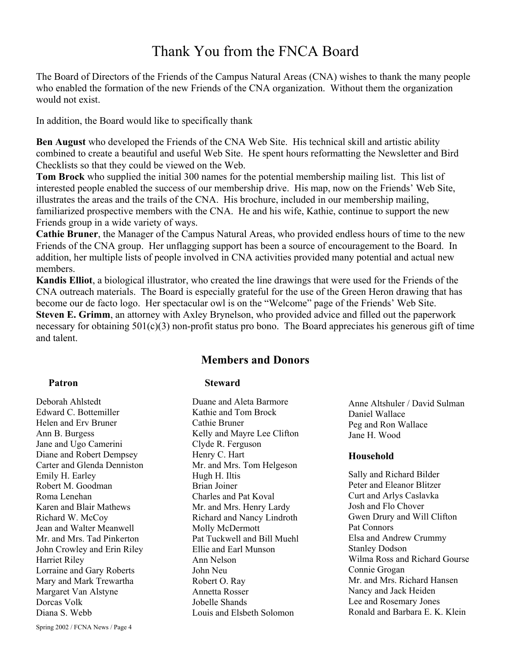# Thank You from the FNCA Board

The Board of Directors of the Friends of the Campus Natural Areas (CNA) wishes to thank the many people who enabled the formation of the new Friends of the CNA organization. Without them the organization would not exist.

In addition, the Board would like to specifically thank

**Ben August** who developed the Friends of the CNA Web Site. His technical skill and artistic ability combined to create a beautiful and useful Web Site. He spent hours reformatting the Newsletter and Bird Checklists so that they could be viewed on the Web.

**Tom Brock** who supplied the initial 300 names for the potential membership mailing list. This list of interested people enabled the success of our membership drive. His map, now on the Friends' Web Site, illustrates the areas and the trails of the CNA. His brochure, included in our membership mailing, familiarized prospective members with the CNA. He and his wife, Kathie, continue to support the new Friends group in a wide variety of ways.

**Cathie Bruner**, the Manager of the Campus Natural Areas, who provided endless hours of time to the new Friends of the CNA group. Her unflagging support has been a source of encouragement to the Board. In addition, her multiple lists of people involved in CNA activities provided many potential and actual new members.

**Kandis Elliot**, a biological illustrator, who created the line drawings that were used for the Friends of the CNA outreach materials. The Board is especially grateful for the use of the Green Heron drawing that has become our de facto logo. Her spectacular owl is on the "Welcome" page of the Friends' Web Site. **Steven E. Grimm**, an attorney with Axley Brynelson, who provided advice and filled out the paperwork necessary for obtaining 501(c)(3) non-profit status pro bono. The Board appreciates his generous gift of time and talent.

## **Members and Donors**

#### **Patron**

Deborah Ahlstedt Edward C. Bottemiller Helen and Erv Bruner Ann B. Burgess Jane and Ugo Camerini Diane and Robert Dempsey Carter and Glenda Denniston Emily H. Earley Robert M. Goodman Roma Lenehan Karen and Blair Mathews Richard W. McCoy Jean and Walter Meanwell Mr. and Mrs. Tad Pinkerton John Crowley and Erin Riley Harriet Riley Lorraine and Gary Roberts Mary and Mark Trewartha Margaret Van Alstyne Dorcas Volk Diana S. Webb

### **Steward**

Duane and Aleta Barmore Kathie and Tom Brock Cathie Bruner Kelly and Mayre Lee Clifton Clyde R. Ferguson Henry C. Hart Mr. and Mrs. Tom Helgeson Hugh H. Iltis Brian Joiner Charles and Pat Koval Mr. and Mrs. Henry Lardy Richard and Nancy Lindroth Molly McDermott Pat Tuckwell and Bill Muehl Ellie and Earl Munson Ann Nelson John Neu Robert O. Ray Annetta Rosser Jobelle Shands Louis and Elsbeth Solomon

Anne Altshuler / David Sulman Daniel Wallace Peg and Ron Wallace Jane H. Wood

#### **Household**

Sally and Richard Bilder Peter and Eleanor Blitzer Curt and Arlys Caslavka Josh and Flo Chover Gwen Drury and Will Clifton Pat Connors Elsa and Andrew Crummy Stanley Dodson Wilma Ross and Richard Gourse Connie Grogan Mr. and Mrs. Richard Hansen Nancy and Jack Heiden Lee and Rosemary Jones Ronald and Barbara E. K. Klein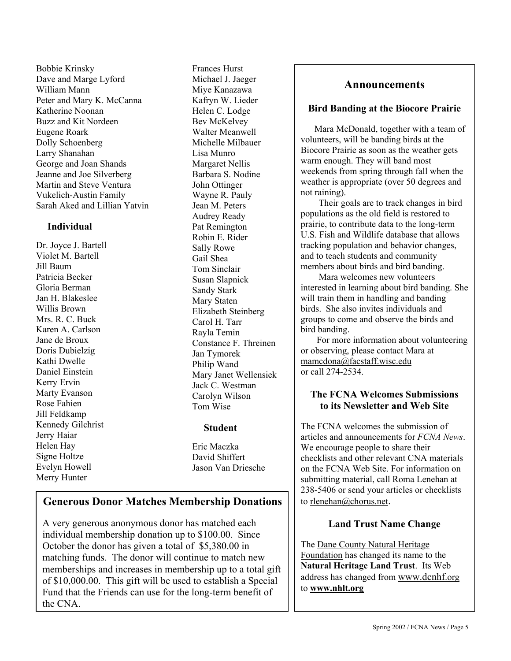Bobbie Krinsky Dave and Marge Lyford William Mann Peter and Mary K. McCanna Katherine Noonan Buzz and Kit Nordeen Eugene Roark Dolly Schoenberg Larry Shanahan George and Joan Shands Jeanne and Joe Silverberg Martin and Steve Ventura Vukelich-Austin Family Sarah Aked and Lillian Yatvin

#### **Individual**

Dr. Joyce J. Bartell Violet M. Bartell Jill Baum Patricia Becker Gloria Berman Jan H. Blakeslee Willis Brown Mrs. R. C. Buck Karen A. Carlson Jane de Broux Doris Dubielzig Kathi Dwelle Daniel Einstein Kerry Ervin Marty Evanson Rose Fahien Jill Feldkamp Kennedy Gilchrist Jerry Haiar Helen Hay Signe Holtze Evelyn Howell Merry Hunter

Frances Hurst Michael J. Jaeger Miye Kanazawa Kafryn W. Lieder Helen C. Lodge Bev McKelvey Walter Meanwell Michelle Milbauer Lisa Munro Margaret Nellis Barbara S. Nodine John Ottinger Wayne R. Pauly Jean M. Peters Audrey Ready Pat Remington Robin E. Rider Sally Rowe Gail Shea Tom Sinclair Susan Slapnick Sandy Stark Mary Staten Elizabeth Steinberg Carol H. Tarr Rayla Temin Constance F. Threinen Jan Tymorek Philip Wand Mary Janet Wellensiek Jack C. Westman Carolyn Wilson Tom Wise

#### **Student**

Eric Maczka David Shiffert Jason Van Driesche

# **Generous Donor Matches Membership Donations**

A very generous anonymous donor has matched each individual membership donation up to \$100.00. Since October the donor has given a total of \$5,380.00 in matching funds.The donor will continue to match new memberships and increases in membership up to a total gift of \$10,000.00. This gift will be used to establish a Special Fund that the Friends can use for the long-term benefit of the CNA.

### **Announcements**

#### **Bird Banding at the Biocore Prairie**

 Mara McDonald, together with a team of volunteers, will be banding birds at the Biocore Prairie as soon as the weather gets warm enough. They will band most weekends from spring through fall when the weather is appropriate (over 50 degrees and not raining).

Their goals are to track changes in bird populations as the old field is restored to prairie, to contribute data to the long-term U.S. Fish and Wildlife database that allows tracking population and behavior changes, and to teach students and community members about birds and bird banding.

Mara welcomes new volunteers interested in learning about bird banding. She will train them in handling and banding birds. She also invites individuals and groups to come and observe the birds and bird banding.

 For more information about volunteering or observing, please contact Mara at mamcdona@facstaff.wisc.edu or call 274-2534.

#### **The FCNA Welcomes Submissions to its Newsletter and Web Site**

The FCNA welcomes the submission of articles and announcements for *FCNA News*. We encourage people to share their checklists and other relevant CNA materials on the FCNA Web Site. For information on submitting material, call Roma Lenehan at 238-5406 or send your articles or checklists to rlenehan@chorus.net.

#### **Land Trust Name Change**

The Dane County Natural Heritage Foundation has changed its name to the **Natural Heritage Land Trust**. Its Web address has changed from www.dcnhf.org to **www.nhlt.org**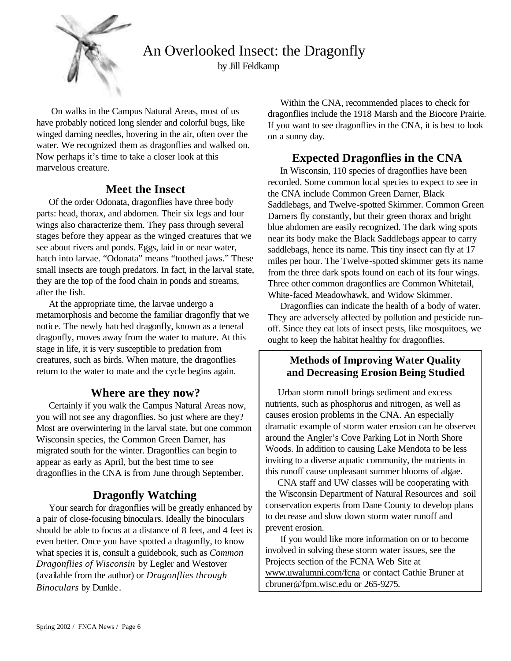

An Overlooked Insect: the Dragonfly

by Jill Feldkamp

 On walks in the Campus Natural Areas, most of us have probably noticed long slender and colorful bugs, like winged darning needles, hovering in the air, often over the water. We recognized them as dragonflies and walked on. Now perhaps it's time to take a closer look at this marvelous creature.

# **Meet the Insect**

 Of the order Odonata, dragonflies have three body parts: head, thorax, and abdomen. Their six legs and four wings also characterize them. They pass through several stages before they appear as the winged creatures that we see about rivers and ponds. Eggs, laid in or near water, hatch into larvae. "Odonata" means "toothed jaws." These small insects are tough predators. In fact, in the larval state, they are the top of the food chain in ponds and streams, after the fish.

 At the appropriate time, the larvae undergo a metamorphosis and become the familiar dragonfly that we notice. The newly hatched dragonfly, known as a teneral dragonfly, moves away from the water to mature. At this stage in life, it is very susceptible to predation from creatures, such as birds. When mature, the dragonflies return to the water to mate and the cycle begins again.

# **Where are they now?**

 Certainly if you walk the Campus Natural Areas now, you will not see any dragonflies. So just where are they? Most are overwintering in the larval state, but one common Wisconsin species, the Common Green Darner, has migrated south for the winter. Dragonflies can begin to appear as early as April, but the best time to see dragonflies in the CNA is from June through September.

# **Dragonfly Watching**

 Your search for dragonflies will be greatly enhanced by a pair of close-focusing binoculars. Ideally the binoculars should be able to focus at a distance of 8 feet, and 4 feet is even better. Once you have spotted a dragonfly, to know what species it is, consult a guidebook, such as *Common Dragonflies of Wisconsin* by Legler and Westover (available from the author) or *Dragonflies through Binoculars* by Dunkle.

 Within the CNA, recommended places to check for dragonflies include the 1918 Marsh and the Biocore Prairie. If you want to see dragonflies in the CNA, it is best to look on a sunny day.

# **Expected Dragonflies in the CNA**

 In Wisconsin, 110 species of dragonflies have been recorded. Some common local species to expect to see in the CNA include Common Green Darner, Black Saddlebags, and Twelve-spotted Skimmer. Common Green Darners fly constantly, but their green thorax and bright blue abdomen are easily recognized. The dark wing spots near its body make the Black Saddlebags appear to carry saddlebags, hence its name. This tiny insect can fly at 17 miles per hour. The Twelve-spotted skimmer gets its name from the three dark spots found on each of its four wings. Three other common dragonflies are Common Whitetail, White-faced Meadowhawk, and Widow Skimmer.

 Dragonflies can indicate the health of a body of water. They are adversely affected by pollution and pesticide runoff. Since they eat lots of insect pests, like mosquitoes, we ought to keep the habitat healthy for dragonflies.

## **Methods of Improving Water Quality and Decreasing Erosion Being Studied**

Urban storm runoff brings sediment and excess nutrients, such as phosphorus and nitrogen, as well as causes erosion problems in the CNA. An especially dramatic example of storm water erosion can be observed around the Angler's Cove Parking Lot in North Shore Woods. In addition to causing Lake Mendota to be less inviting to a diverse aquatic community, the nutrients in this runoff cause unpleasant summer blooms of algae.

 CNA staff and UW classes will be cooperating with the Wisconsin Department of Natural Resources and soil conservation experts from Dane County to develop plans to decrease and slow down storm water runoff and prevent erosion.

 If you would like more information on or to become involved in solving these storm water issues, see the Projects section of the FCNA Web Site at www.uwalumni.com/fcna or contact Cathie Bruner at cbruner@fpm.wisc.edu or 265-9275.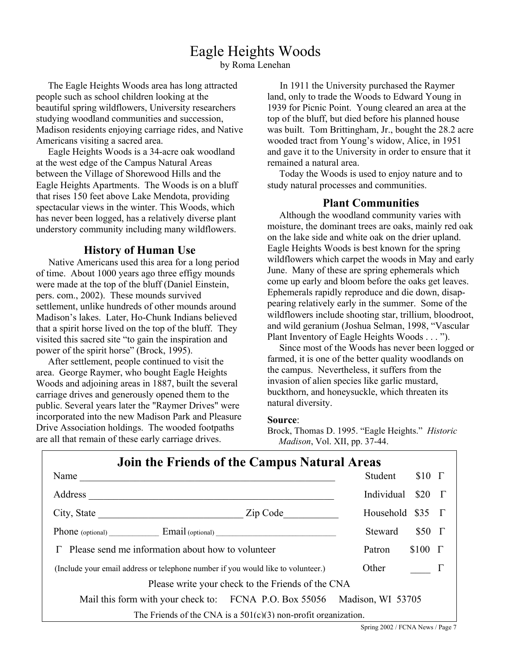# Eagle Heights Woods

by Roma Lenehan

The Eagle Heights Woods area has long attracted people such as school children looking at the beautiful spring wildflowers, University researchers studying woodland communities and succession, Madison residents enjoying carriage rides, and Native Americans visiting a sacred area.

 Eagle Heights Woods is a 34-acre oak woodland at the west edge of the Campus Natural Areas between the Village of Shorewood Hills and the Eagle Heights Apartments. The Woods is on a bluff that rises 150 feet above Lake Mendota, providing spectacular views in the winter. This Woods, which has never been logged, has a relatively diverse plant understory community including many wildflowers.

#### **History of Human Use**

Native Americans used this area for a long period of time. About 1000 years ago three effigy mounds were made at the top of the bluff (Daniel Einstein, pers. com., 2002). These mounds survived settlement, unlike hundreds of other mounds around Madison's lakes. Later, Ho-Chunk Indians believed that a spirit horse lived on the top of the bluff. They visited this sacred site "to gain the inspiration and power of the spirit horse" (Brock, 1995).

 After settlement, people continued to visit the area. George Raymer, who bought Eagle Heights Woods and adjoining areas in 1887, built the several carriage drives and generously opened them to the public. Several years later the "Raymer Drives" were incorporated into the new Madison Park and Pleasure Drive Association holdings. The wooded footpaths are all that remain of these early carriage drives.

 In 1911 the University purchased the Raymer land, only to trade the Woods to Edward Young in 1939 for Picnic Point. Young cleared an area at the top of the bluff, but died before his planned house was built. Tom Brittingham, Jr., bought the 28.2 acre wooded tract from Young's widow, Alice, in 1951 and gave it to the University in order to ensure that it remained a natural area.

 Today the Woods is used to enjoy nature and to study natural processes and communities.

### **Plant Communities**

 Although the woodland community varies with moisture, the dominant trees are oaks, mainly red oak on the lake side and white oak on the drier upland. Eagle Heights Woods is best known for the spring wildflowers which carpet the woods in May and early June. Many of these are spring ephemerals which come up early and bloom before the oaks get leaves. Ephemerals rapidly reproduce and die down, disappearing relatively early in the summer. Some of the wildflowers include shooting star, trillium, bloodroot, and wild geranium (Joshua Selman, 1998, "Vascular Plant Inventory of Eagle Heights Woods . . . ").

 Since most of the Woods has never been logged or farmed, it is one of the better quality woodlands on the campus. Nevertheless, it suffers from the invasion of alien species like garlic mustard, buckthorn, and honeysuckle, which threaten its natural diversity.

#### **Source**:

Brock, Thomas D. 1995. "Eagle Heights." *Historic Madison*, Vol. XII, pp. 37-44.

| Join the Friends of the Campus Natural Areas                                     |                              |
|----------------------------------------------------------------------------------|------------------------------|
| Name                                                                             | Student<br>$$10$ $\Gamma$    |
| Address<br><u> 1989 - Johann John Stein, fransk politik (f. 1989)</u>            | $$20$ $\Gamma$<br>Individual |
|                                                                                  | Household $$35$ $\Gamma$     |
| <b>Phone</b> (optional) Email (optional)                                         | $$50$ $\Gamma$<br>Steward    |
| Please send me information about how to volunteer                                | $$100$ $\Gamma$<br>Patron    |
| (Include your email address or telephone number if you would like to volunteer.) | Other                        |
| Please write your check to the Friends of the CNA                                |                              |
| Mail this form with your check to: FCNA P.O. Box 55056 Madison, WI 53705         |                              |
| The Friends of the CNA is a $501(c)(3)$ non-profit organization.                 |                              |